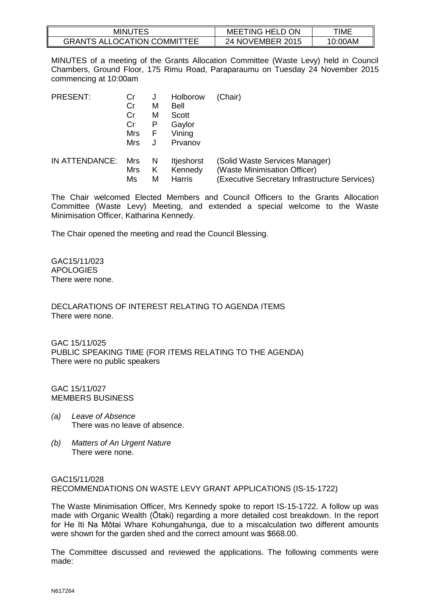| <b>MINUTES</b>                     | <b>MEETING HELD ON</b> | TIME    |
|------------------------------------|------------------------|---------|
| <b>GRANTS ALLOCATION COMMITTEE</b> | 24 NOVEMBER 2015       | 10:00AM |

MINUTES of a meeting of the Grants Allocation Committee (Waste Levy) held in Council Chambers, Ground Floor, 175 Rimu Road, Paraparaumu on Tuesday 24 November 2015 commencing at 10:00am

| <b>PRESENT:</b> | Cr<br>Cr<br>Cr<br>Cr<br><b>Mrs</b><br>Mrs | J<br>M<br>м<br>Р<br>F | Holborow<br><b>Bell</b><br>Scott<br>Gaylor<br>Vining<br>Prvanov | (Chair)                                       |
|-----------------|-------------------------------------------|-----------------------|-----------------------------------------------------------------|-----------------------------------------------|
| IN ATTENDANCE:  | Mrs                                       | N                     | <b>Itjeshorst</b>                                               | (Solid Waste Services Manager)                |
|                 | <b>Mrs</b>                                | Κ                     | Kennedy                                                         | (Waste Minimisation Officer)                  |
|                 | Ms                                        | М                     | Harris                                                          | (Executive Secretary Infrastructure Services) |

The Chair welcomed Elected Members and Council Officers to the Grants Allocation Committee (Waste Levy) Meeting, and extended a special welcome to the Waste Minimisation Officer, Katharina Kennedy.

The Chair opened the meeting and read the Council Blessing.

GAC15/11/023 APOLOGIES There were none.

DECLARATIONS OF INTEREST RELATING TO AGENDA ITEMS There were none.

GAC 15/11/025 PUBLIC SPEAKING TIME (FOR ITEMS RELATING TO THE AGENDA) There were no public speakers

GAC 15/11/027 MEMBERS BUSINESS

- *(a) Leave of Absence* There was no leave of absence.
- *(b) Matters of An Urgent Nature*  There were none.

#### GAC15/11/028 RECOMMENDATIONS ON WASTE LEVY GRANT APPLICATIONS (IS-15-1722)

The Waste Minimisation Officer, Mrs Kennedy spoke to report IS-15-1722. A follow up was made with Organic Wealth (Ōtaki) regarding a more detailed cost breakdown. In the report for He Iti Na Mōtai Whare Kohungahunga, due to a miscalculation two different amounts were shown for the garden shed and the correct amount was \$668.00.

The Committee discussed and reviewed the applications. The following comments were made: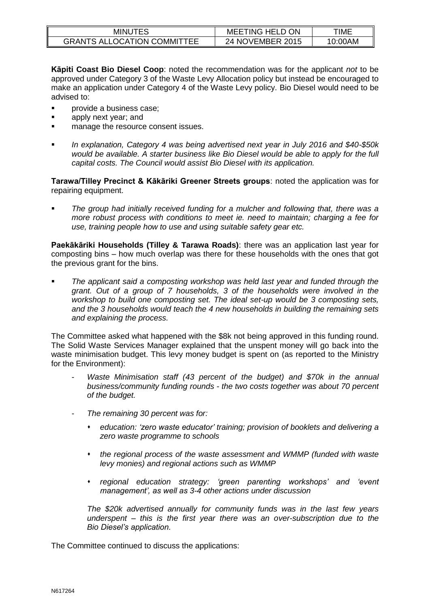| <b>MINUTES</b>                     | MEET<br>TING HELD ON | TIME    |
|------------------------------------|----------------------|---------|
| <b>GRANTS ALLOCATION COMMITTEE</b> | NOVEMBER 2015<br>24  | 10:00AM |

**Kāpiti Coast Bio Diesel Coop**: noted the recommendation was for the applicant *not* to be approved under Category 3 of the Waste Levy Allocation policy but instead be encouraged to make an application under Category 4 of the Waste Levy policy. Bio Diesel would need to be advised to:

- provide a business case;
- **apply next year; and**
- **nanage the resource consent issues.**
- *In explanation, Category 4 was being advertised next year in July 2016 and \$40-\$50k would be available. A starter business like Bio Diesel would be able to apply for the full capital costs. The Council would assist Bio Diesel with its application.*

**Tarawa/Tilley Precinct & Kākāriki Greener Streets groups**: noted the application was for repairing equipment.

 *The group had initially received funding for a mulcher and following that, there was a more robust process with conditions to meet ie. need to maintain; charging a fee for use, training people how to use and using suitable safety gear etc.* 

**Paekākāriki Households (Tilley & Tarawa Roads)**: there was an application last year for composting bins – how much overlap was there for these households with the ones that got the previous grant for the bins.

 *The applicant said a composting workshop was held last year and funded through the grant. Out of a group of 7 households, 3 of the households were involved in the workshop to build one composting set. The ideal set-up would be 3 composting sets, and the 3 households would teach the 4 new households in building the remaining sets and explaining the process.* 

The Committee asked what happened with the \$8k not being approved in this funding round. The Solid Waste Services Manager explained that the unspent money will go back into the waste minimisation budget. This levy money budget is spent on (as reported to the Ministry for the Environment):

- Waste Minimisation staff (43 percent of the budget) and \$70k in the annual *business/community funding rounds - the two costs together was about 70 percent of the budget.*
- *The remaining 30 percent was for:* 
	- *education: 'zero waste educator' training; provision of booklets and delivering a zero waste programme to schools*
	- *the regional process of the waste assessment and WMMP (funded with waste levy monies) and regional actions such as WMMP*
	- *regional education strategy: 'green parenting workshops' and 'event management', as well as 3-4 other actions under discussion*

*The \$20k advertised annually for community funds was in the last few years underspent – this is the first year there was an over-subscription due to the Bio Diesel's application.* 

The Committee continued to discuss the applications: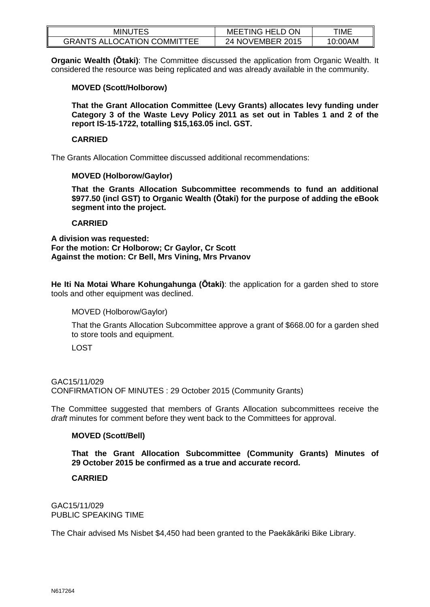| <b>MINUTES</b>                     | <b>MEETING HELD ON</b> | TIME    |
|------------------------------------|------------------------|---------|
| <b>GRANTS ALLOCATION COMMITTEE</b> | 24 NOVEMBER 2015       | 10:00AM |

**Organic Wealth (Ōtaki)**: The Committee discussed the application from Organic Wealth. It considered the resource was being replicated and was already available in the community.

## **MOVED (Scott/Holborow)**

**That the Grant Allocation Committee (Levy Grants) allocates levy funding under Category 3 of the Waste Levy Policy 2011 as set out in Tables 1 and 2 of the report IS-15-1722, totalling \$15,163.05 incl. GST.**

#### **CARRIED**

The Grants Allocation Committee discussed additional recommendations:

### **MOVED (Holborow/Gaylor)**

**That the Grants Allocation Subcommittee recommends to fund an additional \$977.50 (incl GST) to Organic Wealth (Ōtaki) for the purpose of adding the eBook segment into the project.** 

### **CARRIED**

**A division was requested: For the motion: Cr Holborow; Cr Gaylor, Cr Scott Against the motion: Cr Bell, Mrs Vining, Mrs Prvanov**

**He Iti Na Motai Whare Kohungahunga (Ōtaki)**: the application for a garden shed to store tools and other equipment was declined.

MOVED (Holborow/Gaylor)

That the Grants Allocation Subcommittee approve a grant of \$668.00 for a garden shed to store tools and equipment.

LOST

#### GAC15/11/029

CONFIRMATION OF MINUTES : 29 October 2015 (Community Grants)

The Committee suggested that members of Grants Allocation subcommittees receive the *draft* minutes for comment before they went back to the Committees for approval.

# **MOVED (Scott/Bell)**

**That the Grant Allocation Subcommittee (Community Grants) Minutes of 29 October 2015 be confirmed as a true and accurate record.** 

# **CARRIED**

GAC15/11/029 PUBLIC SPEAKING TIME

The Chair advised Ms Nisbet \$4,450 had been granted to the Paekākāriki Bike Library.